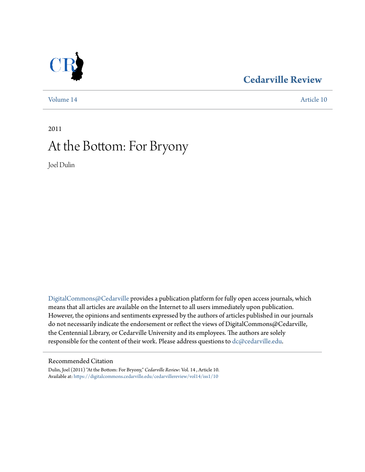## **[Cedarville Review](https://digitalcommons.cedarville.edu/cedarvillereview?utm_source=digitalcommons.cedarville.edu%2Fcedarvillereview%2Fvol14%2Fiss1%2F10&utm_medium=PDF&utm_campaign=PDFCoverPages)**



[Volume 14](https://digitalcommons.cedarville.edu/cedarvillereview/vol14?utm_source=digitalcommons.cedarville.edu%2Fcedarvillereview%2Fvol14%2Fiss1%2F10&utm_medium=PDF&utm_campaign=PDFCoverPages) [Article 10](https://digitalcommons.cedarville.edu/cedarvillereview/vol14/iss1/10?utm_source=digitalcommons.cedarville.edu%2Fcedarvillereview%2Fvol14%2Fiss1%2F10&utm_medium=PDF&utm_campaign=PDFCoverPages)

# 2011 At the Bottom: For Bryony

Joel Dulin

[DigitalCommons@Cedarville](http://digitalcommons.cedarville.edu) provides a publication platform for fully open access journals, which means that all articles are available on the Internet to all users immediately upon publication. However, the opinions and sentiments expressed by the authors of articles published in our journals do not necessarily indicate the endorsement or reflect the views of DigitalCommons@Cedarville, the Centennial Library, or Cedarville University and its employees. The authors are solely responsible for the content of their work. Please address questions to [dc@cedarville.edu](mailto:dc@cedarville.edu).

#### Recommended Citation

Dulin, Joel (2011) "At the Bottom: For Bryony," *Cedarville Review*: Vol. 14 , Article 10. Available at: [https://digitalcommons.cedarville.edu/cedarvillereview/vol14/iss1/10](https://digitalcommons.cedarville.edu/cedarvillereview/vol14/iss1/10?utm_source=digitalcommons.cedarville.edu%2Fcedarvillereview%2Fvol14%2Fiss1%2F10&utm_medium=PDF&utm_campaign=PDFCoverPages)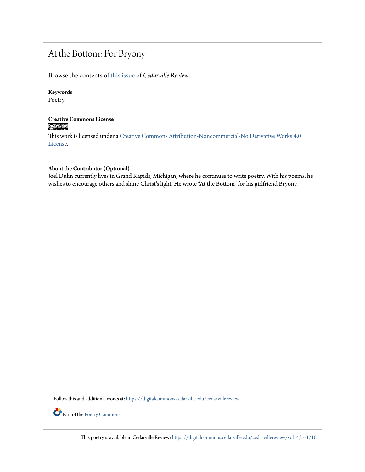### At the Bottom: For Bryony

Browse the contents of [this issue](https://digitalcommons.cedarville.edu/cedarvillereview/vol14/iss1) of *Cedarville Review*.

#### **Keywords**

Poetry

#### **Creative Commons License**  $\bigcirc$   $\circ$

This work is licensed under a [Creative Commons Attribution-Noncommercial-No Derivative Works 4.0](http://creativecommons.org/licenses/by-nc-nd/4.0/) [License.](http://creativecommons.org/licenses/by-nc-nd/4.0/)

#### **About the Contributor (Optional)**

Joel Dulin currently lives in Grand Rapids, Michigan, where he continues to write poetry. With his poems, he wishes to encourage others and shine Christ's light. He wrote "At the Bottom" for his girlfriend Bryony.

Follow this and additional works at: [https://digitalcommons.cedarville.edu/cedarvillereview](https://digitalcommons.cedarville.edu/cedarvillereview?utm_source=digitalcommons.cedarville.edu%2Fcedarvillereview%2Fvol14%2Fiss1%2F10&utm_medium=PDF&utm_campaign=PDFCoverPages)



Part of the [Poetry Commons](http://network.bepress.com/hgg/discipline/1153?utm_source=digitalcommons.cedarville.edu%2Fcedarvillereview%2Fvol14%2Fiss1%2F10&utm_medium=PDF&utm_campaign=PDFCoverPages)

This poetry is available in Cedarville Review: [https://digitalcommons.cedarville.edu/cedarvillereview/vol14/iss1/10](https://digitalcommons.cedarville.edu/cedarvillereview/vol14/iss1/10?utm_source=digitalcommons.cedarville.edu%2Fcedarvillereview%2Fvol14%2Fiss1%2F10&utm_medium=PDF&utm_campaign=PDFCoverPages)